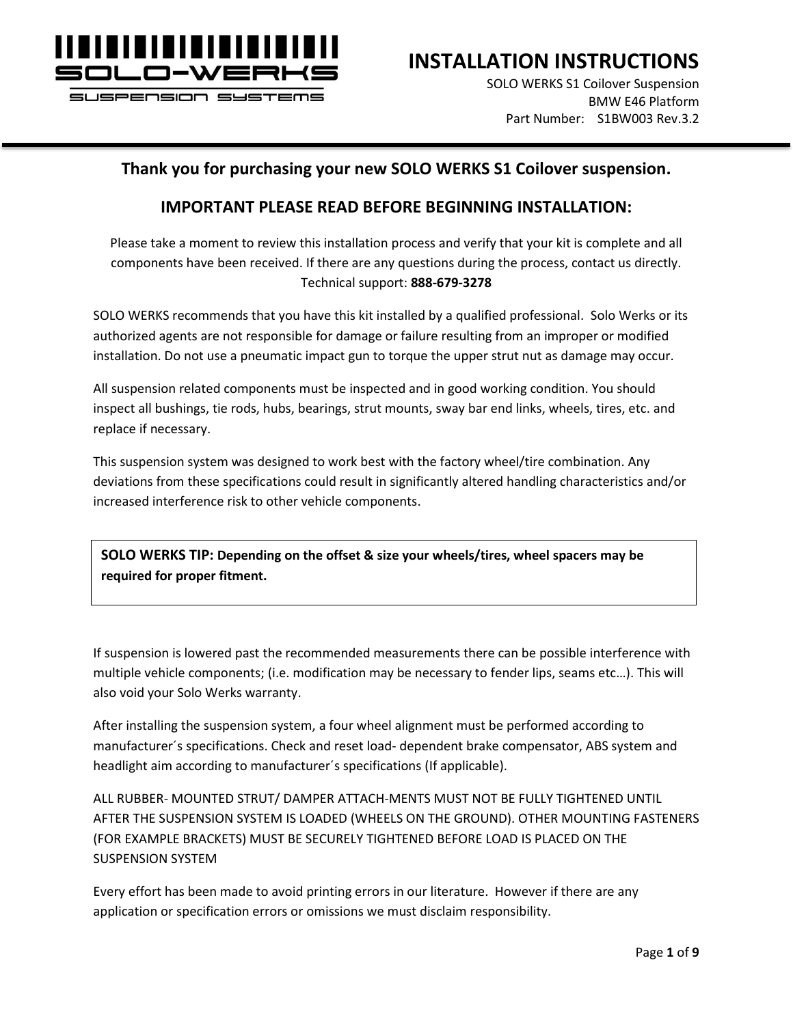

**INSTALLATION INSTRUCTIONS**

SOLO WERKS S1 Coilover Suspension BMW E46 Platform Part Number: S1BW003 Rev.3.2

#### **Thank you for purchasing your new SOLO WERKS S1 Coilover suspension.**

#### **IMPORTANT PLEASE READ BEFORE BEGINNING INSTALLATION:**

Please take a moment to review this installation process and verify that your kit is complete and all components have been received. If there are any questions during the process, contact us directly. Technical support: **888-679-3278**

SOLO WERKS recommends that you have this kit installed by a qualified professional. Solo Werks or its authorized agents are not responsible for damage or failure resulting from an improper or modified installation. Do not use a pneumatic impact gun to torque the upper strut nut as damage may occur.

All suspension related components must be inspected and in good working condition. You should inspect all bushings, tie rods, hubs, bearings, strut mounts, sway bar end links, wheels, tires, etc. and replace if necessary.

This suspension system was designed to work best with the factory wheel/tire combination. Any deviations from these specifications could result in significantly altered handling characteristics and/or increased interference risk to other vehicle components.

**SOLO WERKS TIP: Depending on the offset & size your wheels/tires, wheel spacers may be required for proper fitment.**

If suspension is lowered past the recommended measurements there can be possible interference with multiple vehicle components; (i.e. modification may be necessary to fender lips, seams etc…). This will also void your Solo Werks warranty.

After installing the suspension system, a four wheel alignment must be performed according to manufacturer´s specifications. Check and reset load- dependent brake compensator, ABS system and headlight aim according to manufacturer´s specifications (If applicable).

ALL RUBBER- MOUNTED STRUT/ DAMPER ATTACH-MENTS MUST NOT BE FULLY TIGHTENED UNTIL AFTER THE SUSPENSION SYSTEM IS LOADED (WHEELS ON THE GROUND). OTHER MOUNTING FASTENERS (FOR EXAMPLE BRACKETS) MUST BE SECURELY TIGHTENED BEFORE LOAD IS PLACED ON THE SUSPENSION SYSTEM

Every effort has been made to avoid printing errors in our literature. However if there are any application or specification errors or omissions we must disclaim responsibility.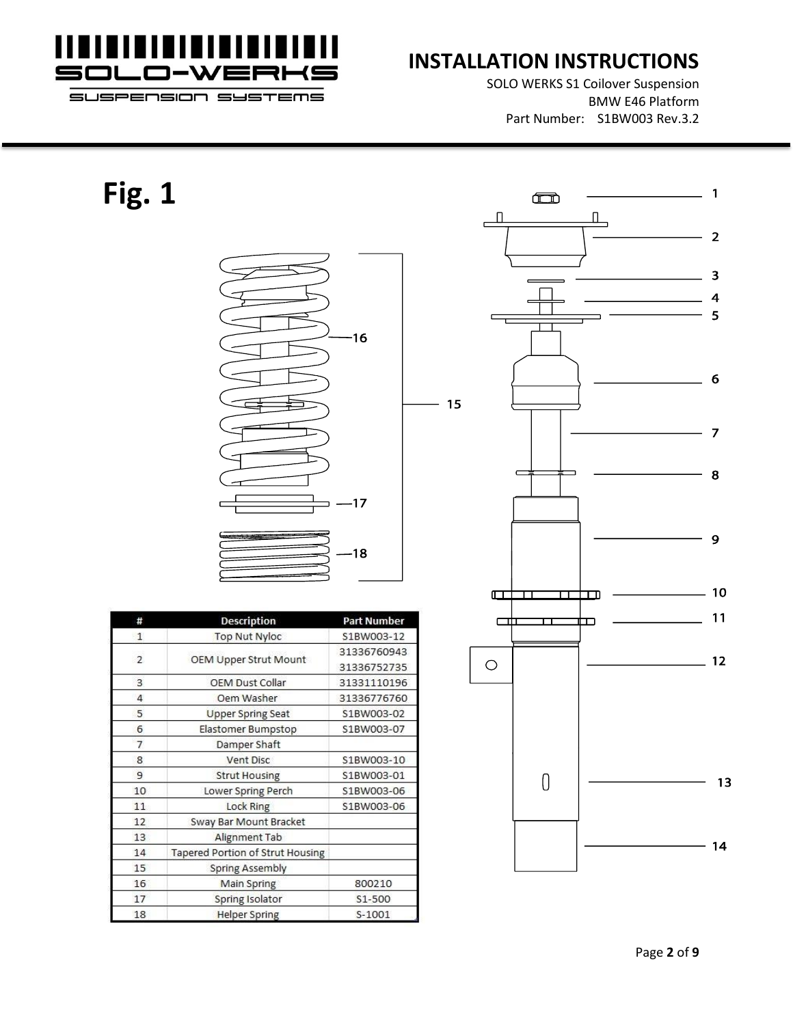

SOLO WERKS S1 Coilover Suspension BMW E46 Platform Part Number: S1BW003 Rev.3.2

SUSPENSION SYSTEMS

# **Fig. 1**



| #            | <b>Description</b>               | <b>Part Number</b> |  |  |  |
|--------------|----------------------------------|--------------------|--|--|--|
| $\mathbf{1}$ | <b>Top Nut Nyloc</b>             | S1BW003-12         |  |  |  |
|              |                                  | 31336760943        |  |  |  |
| 2            | OEM Upper Strut Mount            | 31336752735        |  |  |  |
| 3            | <b>OEM Dust Collar</b>           | 31331110196        |  |  |  |
| 4            | Oem Washer                       | 31336776760        |  |  |  |
| 5            | <b>Upper Spring Seat</b>         | S1BW003-02         |  |  |  |
| 6            | Elastomer Bumpstop               | S1BW003-07         |  |  |  |
| 7            | Damper Shaft                     |                    |  |  |  |
| 8            | Vent Disc                        | S1BW003-10         |  |  |  |
| 9            | <b>Strut Housing</b>             | S1BW003-01         |  |  |  |
| 10           | Lower Spring Perch               | S1BW003-06         |  |  |  |
| 11           | <b>Lock Ring</b>                 | S1BW003-06         |  |  |  |
| 12           | Sway Bar Mount Bracket           |                    |  |  |  |
| 13           | Alignment Tab                    |                    |  |  |  |
| 14           | Tapered Portion of Strut Housing |                    |  |  |  |
| 15           | <b>Spring Assembly</b>           |                    |  |  |  |
| 16           | <b>Main Spring</b>               | 800210             |  |  |  |
| 17           | Spring Isolator                  | S1-500             |  |  |  |
| 18           | <b>Helper Spring</b>             | S-1001             |  |  |  |

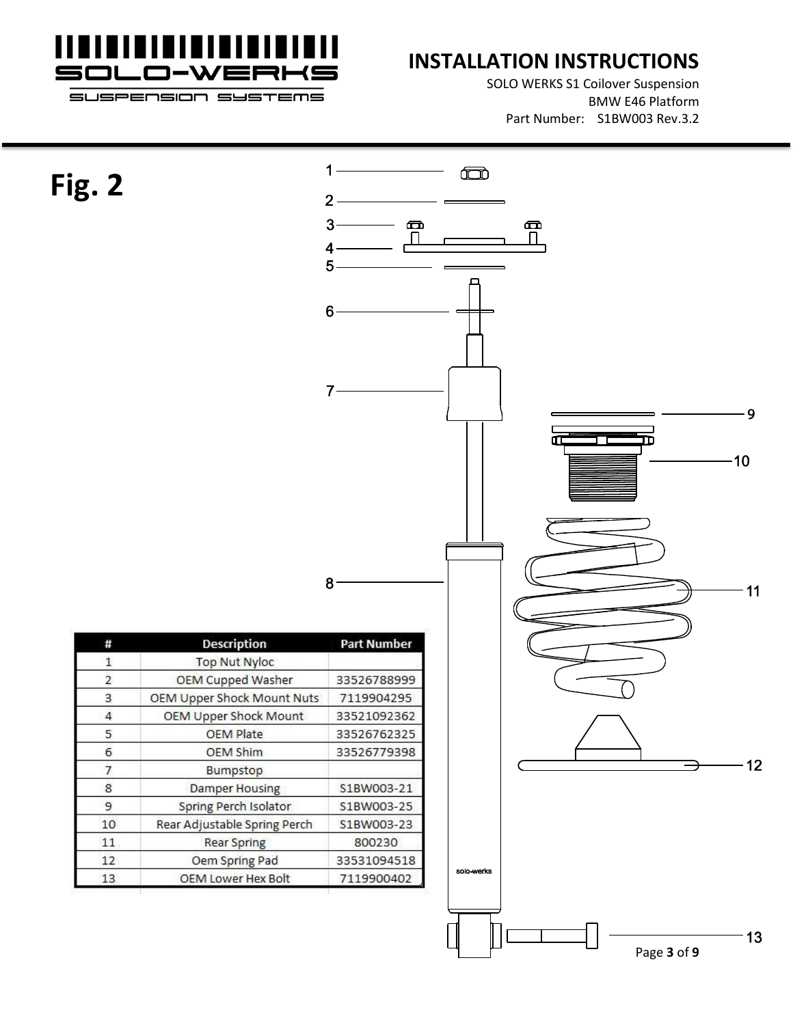

# **INSTALLATION INSTRUCTIONS**

SOLO WERKS S1 Coilover Suspension BMW E46 Platform Part Number: S1BW003 Rev.3.2

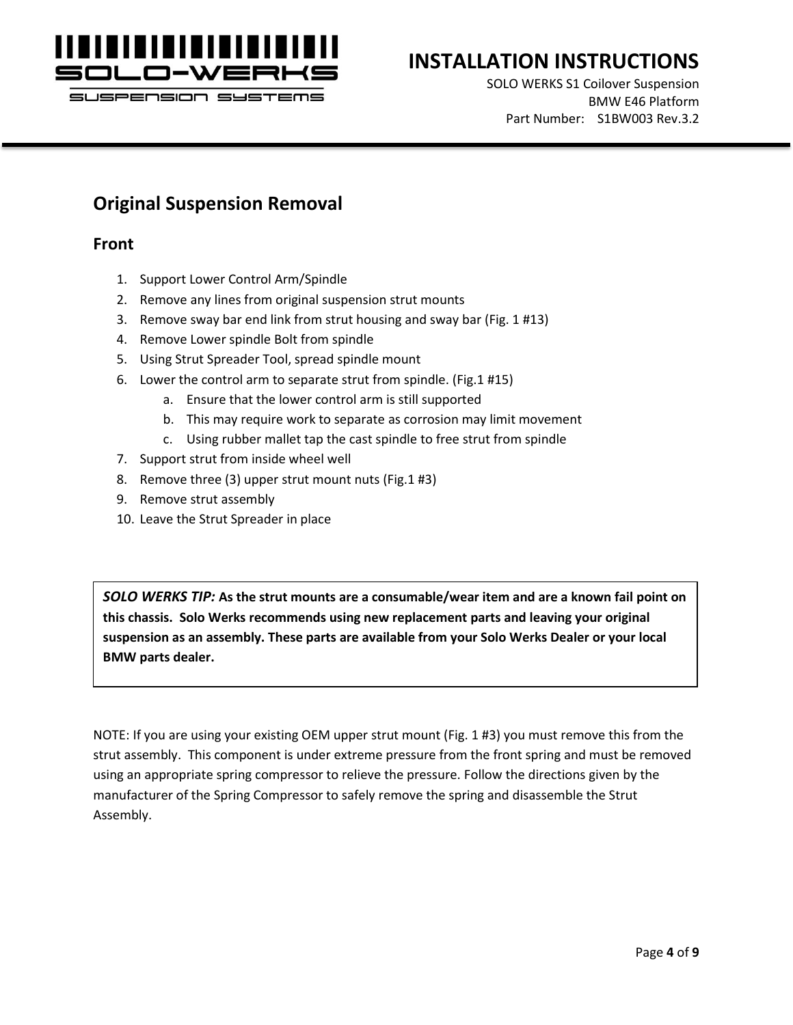

# **INSTALLATION INSTRUCTIONS**

SOLO WERKS S1 Coilover Suspension BMW E46 Platform Part Number: S1BW003 Rev.3.2

#### **Original Suspension Removal**

#### **Front**

- 1. Support Lower Control Arm/Spindle
- 2. Remove any lines from original suspension strut mounts
- 3. Remove sway bar end link from strut housing and sway bar (Fig. 1 #13)
- 4. Remove Lower spindle Bolt from spindle
- 5. Using Strut Spreader Tool, spread spindle mount
- 6. Lower the control arm to separate strut from spindle. (Fig.1 #15)
	- a. Ensure that the lower control arm is still supported
	- b. This may require work to separate as corrosion may limit movement
	- c. Using rubber mallet tap the cast spindle to free strut from spindle
- 7. Support strut from inside wheel well
- 8. Remove three (3) upper strut mount nuts (Fig.1 #3)
- 9. Remove strut assembly
- 10. Leave the Strut Spreader in place

*SOLO WERKS TIP:* **As the strut mounts are a consumable/wear item and are a known fail point on this chassis. Solo Werks recommends using new replacement parts and leaving your original suspension as an assembly. These parts are available from your Solo Werks Dealer or your local BMW parts dealer.**

NOTE: If you are using your existing OEM upper strut mount (Fig. 1 #3) you must remove this from the strut assembly. This component is under extreme pressure from the front spring and must be removed using an appropriate spring compressor to relieve the pressure. Follow the directions given by the manufacturer of the Spring Compressor to safely remove the spring and disassemble the Strut Assembly.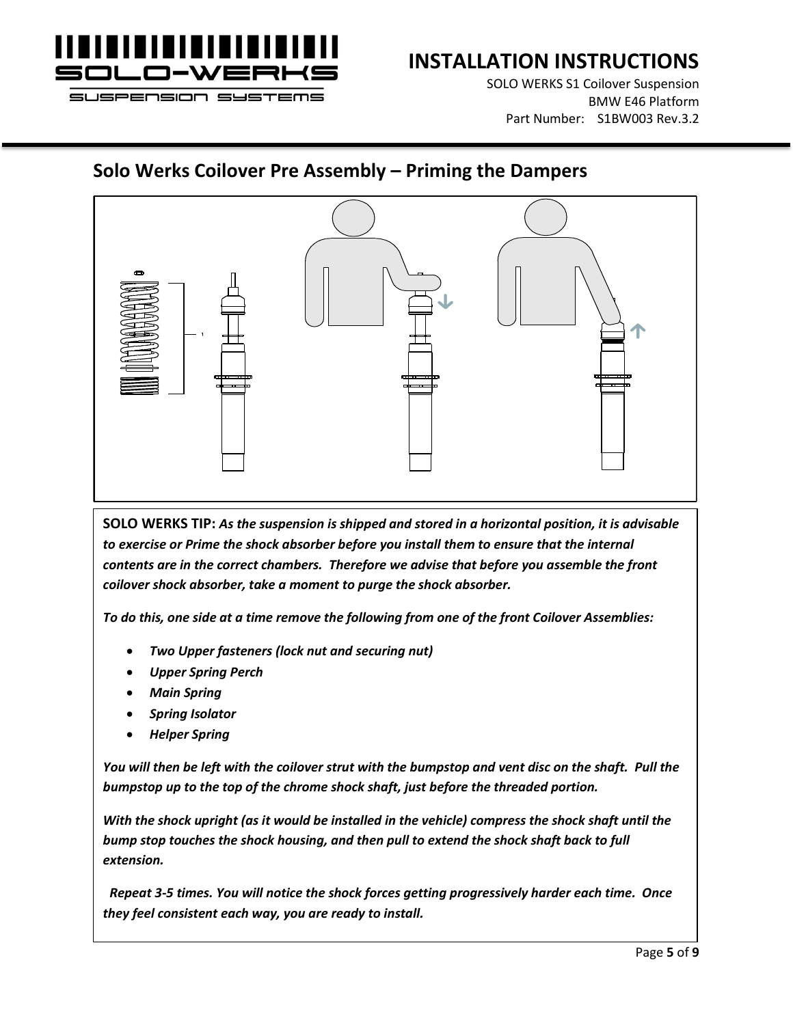

SOLO WERKS S1 Coilover Suspension BMW E46 Platform Part Number: S1BW003 Rev.3.2

### **Solo Werks Coilover Pre Assembly – Priming the Dampers**



**SOLO WERKS TIP:** *As the suspension is shipped and stored in a horizontal position, it is advisable*  to exercise or Prime the shock absorber before you install them to ensure that the internal *contents are in the correct chambers. Therefore we advise that before you assemble the front coilover shock absorber, take a moment to purge the shock absorber.* 

*To do this, one side at a time remove the following from one of the front Coilover Assemblies:*

- *Two Upper fasteners (lock nut and securing nut)*
- *Upper Spring Perch*
- *Main Spring*
- *Spring Isolator*
- *Helper Spring*

*You will then be left with the coilover strut with the bumpstop and vent disc on the shaft. Pull the bumpstop up to the top of the chrome shock shaft, just before the threaded portion.* 

*With the shock upright (as it would be installed in the vehicle) compress the shock shaft until the bump stop touches the shock housing, and then pull to extend the shock shaft back to full extension.*

 *Repeat 3-5 times. You will notice the shock forces getting progressively harder each time. Once they feel consistent each way, you are ready to install.*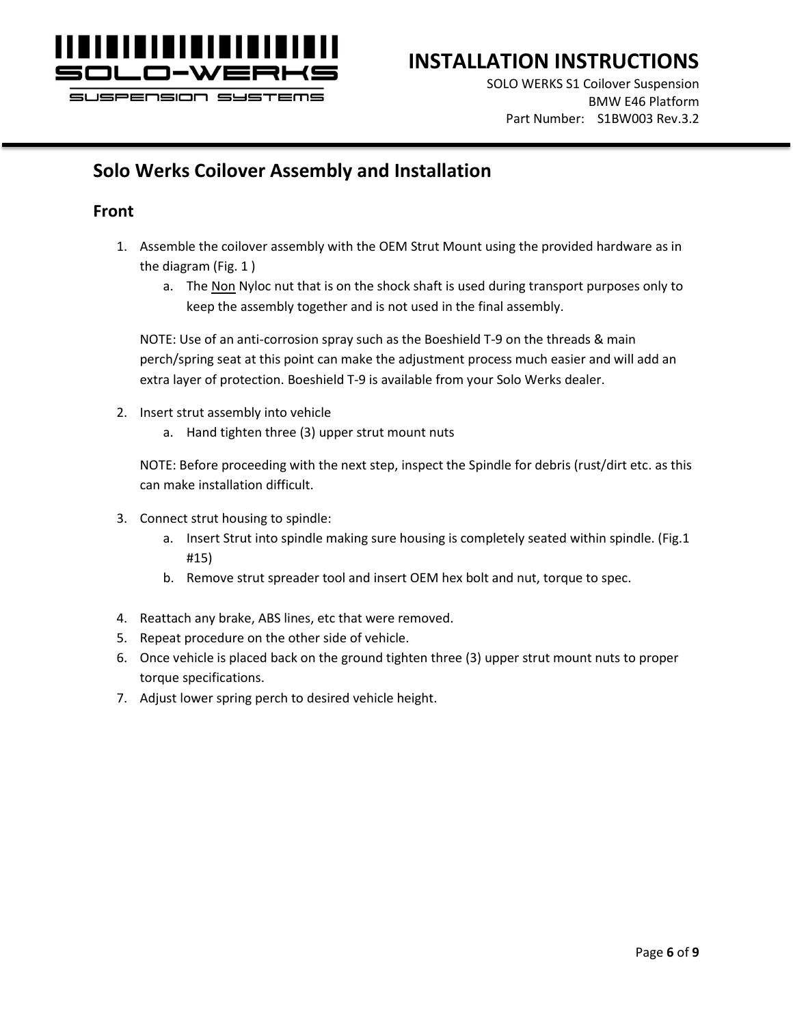

SOLO WERKS S1 Coilover Suspension BMW E46 Platform Part Number: S1BW003 Rev.3.2

# **Solo Werks Coilover Assembly and Installation**

#### **Front**

- 1. Assemble the coilover assembly with the OEM Strut Mount using the provided hardware as in the diagram (Fig. 1 )
	- a. The Non Nyloc nut that is on the shock shaft is used during transport purposes only to keep the assembly together and is not used in the final assembly.

NOTE: Use of an anti-corrosion spray such as the Boeshield T-9 on the threads & main perch/spring seat at this point can make the adjustment process much easier and will add an extra layer of protection. Boeshield T-9 is available from your Solo Werks dealer.

- 2. Insert strut assembly into vehicle
	- a. Hand tighten three (3) upper strut mount nuts

NOTE: Before proceeding with the next step, inspect the Spindle for debris (rust/dirt etc. as this can make installation difficult.

- 3. Connect strut housing to spindle:
	- a. Insert Strut into spindle making sure housing is completely seated within spindle. (Fig.1 #15)
	- b. Remove strut spreader tool and insert OEM hex bolt and nut, torque to spec.
- 4. Reattach any brake, ABS lines, etc that were removed.
- 5. Repeat procedure on the other side of vehicle.
- 6. Once vehicle is placed back on the ground tighten three (3) upper strut mount nuts to proper torque specifications.
- 7. Adjust lower spring perch to desired vehicle height.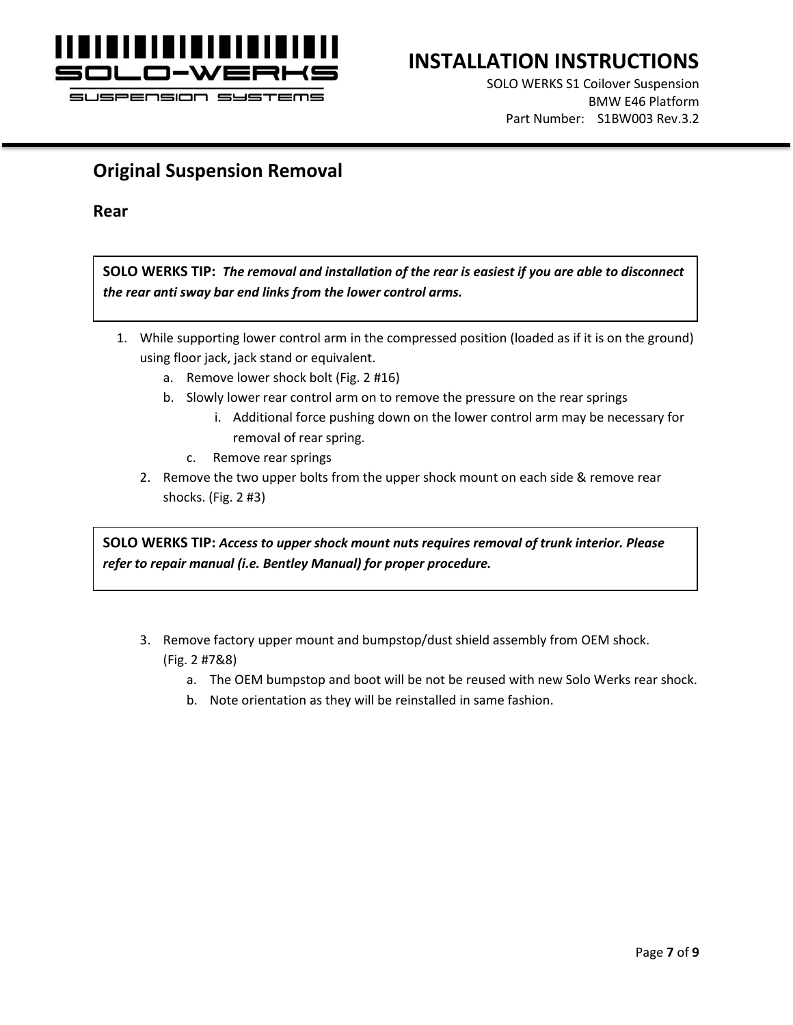

### **INSTALLATION INSTRUCTIONS**

SOLO WERKS S1 Coilover Suspension BMW E46 Platform Part Number: S1BW003 Rev.3.2

### **Original Suspension Removal**

**Rear**

**SOLO WERKS TIP:** *The removal and installation of the rear is easiest if you are able to disconnect the rear anti sway bar end links from the lower control arms.*

- 1. While supporting lower control arm in the compressed position (loaded as if it is on the ground) using floor jack, jack stand or equivalent.
	- a. Remove lower shock bolt (Fig. 2 #16)
	- b. Slowly lower rear control arm on to remove the pressure on the rear springs
		- i. Additional force pushing down on the lower control arm may be necessary for removal of rear spring.
		- c. Remove rear springs
	- 2. Remove the two upper bolts from the upper shock mount on each side & remove rear shocks. (Fig. 2 #3)

**SOLO WERKS TIP:** *Access to upper shock mount nuts requires removal of trunk interior. Please refer to repair manual (i.e. Bentley Manual) for proper procedure.*

- 3. Remove factory upper mount and bumpstop/dust shield assembly from OEM shock. (Fig. 2 #7&8)
	- a. The OEM bumpstop and boot will be not be reused with new Solo Werks rear shock.
	- b. Note orientation as they will be reinstalled in same fashion.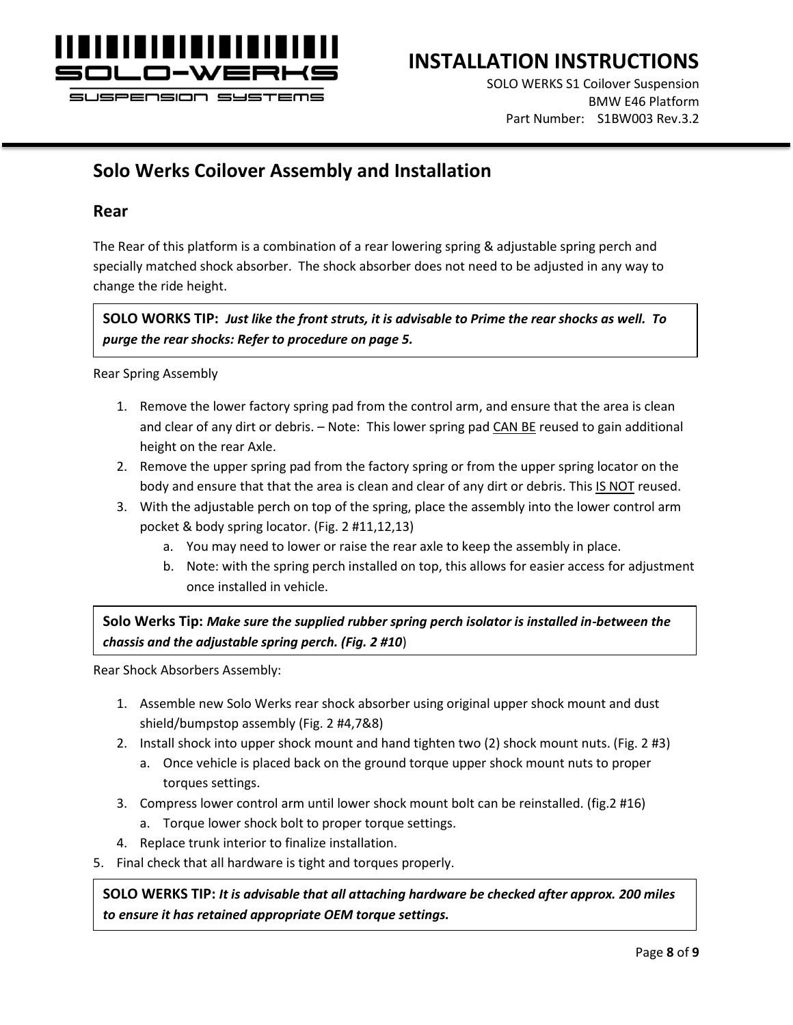

### **INSTALLATION INSTRUCTIONS**

SOLO WERKS S1 Coilover Suspension BMW E46 Platform Part Number: S1BW003 Rev.3.2

### **Solo Werks Coilover Assembly and Installation**

#### **Rear**

The Rear of this platform is a combination of a rear lowering spring & adjustable spring perch and specially matched shock absorber. The shock absorber does not need to be adjusted in any way to change the ride height.

**SOLO WORKS TIP:** *Just like the front struts, it is advisable to Prime the rear shocks as well. To purge the rear shocks: Refer to procedure on page 5.*

Rear Spring Assembly

- 1. Remove the lower factory spring pad from the control arm, and ensure that the area is clean and clear of any dirt or debris. – Note: This lower spring pad CAN BE reused to gain additional height on the rear Axle.
- 2. Remove the upper spring pad from the factory spring or from the upper spring locator on the body and ensure that that the area is clean and clear of any dirt or debris. This IS NOT reused.
- 3. With the adjustable perch on top of the spring, place the assembly into the lower control arm pocket & body spring locator. (Fig. 2 #11,12,13)
	- a. You may need to lower or raise the rear axle to keep the assembly in place.
	- b. Note: with the spring perch installed on top, this allows for easier access for adjustment once installed in vehicle.

**Solo Werks Tip:** *Make sure the supplied rubber spring perch isolator is installed in-between the chassis and the adjustable spring perch. (Fig. 2 #10*)

Rear Shock Absorbers Assembly:

- 1. Assemble new Solo Werks rear shock absorber using original upper shock mount and dust shield/bumpstop assembly (Fig. 2 #4,7&8)
- 2. Install shock into upper shock mount and hand tighten two (2) shock mount nuts. (Fig. 2 #3)
	- a. Once vehicle is placed back on the ground torque upper shock mount nuts to proper torques settings.
- 3. Compress lower control arm until lower shock mount bolt can be reinstalled. (fig.2 #16)
	- a. Torque lower shock bolt to proper torque settings.
- 4. Replace trunk interior to finalize installation.
- 5. Final check that all hardware is tight and torques properly.

**SOLO WERKS TIP:** *It is advisable that all attaching hardware be checked after approx. 200 miles to ensure it has retained appropriate OEM torque settings.*